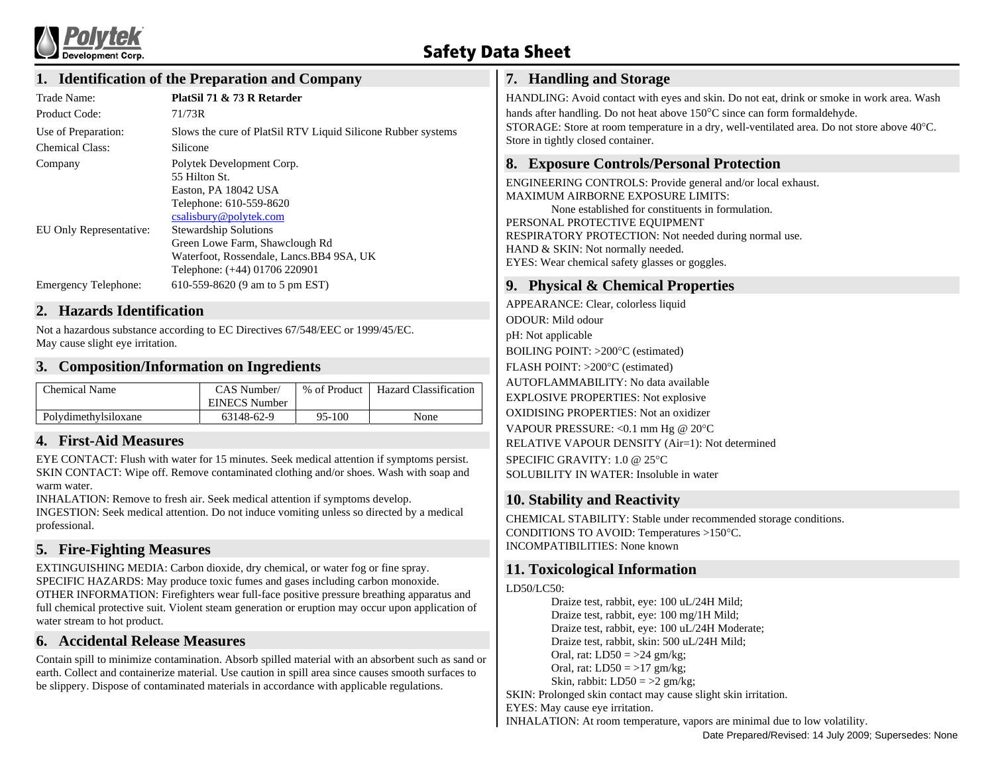

# **Safety Data Sheet**

## **1. Identification of the Preparation and Company**

| Trade Name:             | PlatSil 71 & 73 R Retarder                                   |
|-------------------------|--------------------------------------------------------------|
| Product Code:           | 71/73R                                                       |
| Use of Preparation:     | Slows the cure of PlatSil RTV Liquid Silicone Rubber systems |
| <b>Chemical Class:</b>  | Silicone                                                     |
| Company                 | Polytek Development Corp.                                    |
|                         | 55 Hilton St.                                                |
|                         | Easton, PA 18042 USA                                         |
|                         | Telephone: 610-559-8620                                      |
|                         | csalisbury@polytek.com                                       |
| EU Only Representative: | <b>Stewardship Solutions</b>                                 |
|                         | Green Lowe Farm, Shawclough Rd                               |
|                         | Waterfoot, Rossendale, Lancs.BB4 9SA, UK                     |
|                         | Telephone: (+44) 01706 220901                                |
| Emergency Telephone:    | 610-559-8620 (9 am to 5 pm EST)                              |

### **2. Hazards Identification**

Not a hazardous substance according to EC Directives 67/548/EEC or 1999/45/EC. May cause slight eye irritation.

## **3. Composition/Information on Ingredients**

| Chemical Name        | CAS Number/<br>EINECS Number | % of Product | Hazard Classification |
|----------------------|------------------------------|--------------|-----------------------|
| Polydimethylsiloxane | 63148-62-9                   | 95-100       | None                  |

## **4. First-Aid Measures**

EYE CONTACT: Flush with water for 15 minutes. Seek medical attention if symptoms persist. SKIN CONTACT: Wipe off. Remove contaminated clothing and/or shoes. Wash with soap and warm water.

INHALATION: Remove to fresh air. Seek medical attention if symptoms develop. INGESTION: Seek medical attention. Do not induce vomiting unless so directed by a medical professional.

## **5. Fire-Fighting Measures**

EXTINGUISHING MEDIA: Carbon dioxide, dry chemical, or water fog or fine spray. SPECIFIC HAZARDS: May produce toxic fumes and gases including carbon monoxide. OTHER INFORMATION: Firefighters wear full-face positive pressure breathing apparatus and full chemical protective suit. Violent steam generation or eruption may occur upon application of water stream to hot product.

## **6. Accidental Release Measures**

Contain spill to minimize contamination. Absorb spilled material with an absorbent such as sand or earth. Collect and containerize material. Use caution in spill area since causes smooth surfaces to be slippery. Dispose of contaminated materials in accordance with applicable regulations.

## **7. Handling and Storage**

HANDLING: Avoid contact with eyes and skin. Do not eat, drink or smoke in work area. Wash hands after handling. Do not heat above 150°C since can form formaldehyde.

STORAGE: Store at room temperature in a dry, well-ventilated area. Do not store above 40°C. Store in tightly closed container.

## **8. Exposure Controls/Personal Protection**

ENGINEERING CONTROLS: Provide general and/or local exhaust. MAXIMUM AIRBORNE EXPOSURE LIMITS: None established for constituents in formulation. PERSONAL PROTECTIVE EQUIPMENT RESPIRATORY PROTECTION: Not needed during normal use. HAND & SKIN: Not normally needed. EYES: Wear chemical safety glasses or goggles.

## **9. Physical & Chemical Properties**

APPEARANCE: Clear, colorless liquid ODOUR: Mild odour pH: Not applicable BOILING POINT: >200°C (estimated) FLASH POINT: >200°C (estimated) AUTOFLAMMABILITY: No data available EXPLOSIVE PROPERTIES: Not explosive OXIDISING PROPERTIES: Not an oxidizer VAPOUR PRESSURE: <0.1 mm Hg @ 20°C RELATIVE VAPOUR DENSITY (Air=1): Not determined SPECIFIC GRAVITY: 1.0 @ 25°C SOLUBILITY IN WATER: Insoluble in water

## **10. Stability and Reactivity**

CHEMICAL STABILITY: Stable under recommended storage conditions. CONDITIONS TO AVOID: Temperatures >150°C. INCOMPATIBILITIES: None known

## **11. Toxicological Information**

#### LD50/LC50:

Draize test, rabbit, eye: 100 uL/24H Mild; Draize test, rabbit, eye: 100 mg/1H Mild; Draize test, rabbit, eye: 100 uL/24H Moderate; Draize test, rabbit, skin: 500 uL/24H Mild; Oral, rat:  $LD50 = >24$  gm/kg; Oral, rat:  $LD50 = >17$  gm/kg; Skin, rabbit:  $LD50 = >2$  gm/kg;

SKIN: Prolonged skin contact may cause slight skin irritation.

EYES: May cause eye irritation.

INHALATION: At room temperature, vapors are minimal due to low volatility.

Date Prepared/Revised: 14 July 2009; Supersedes: None